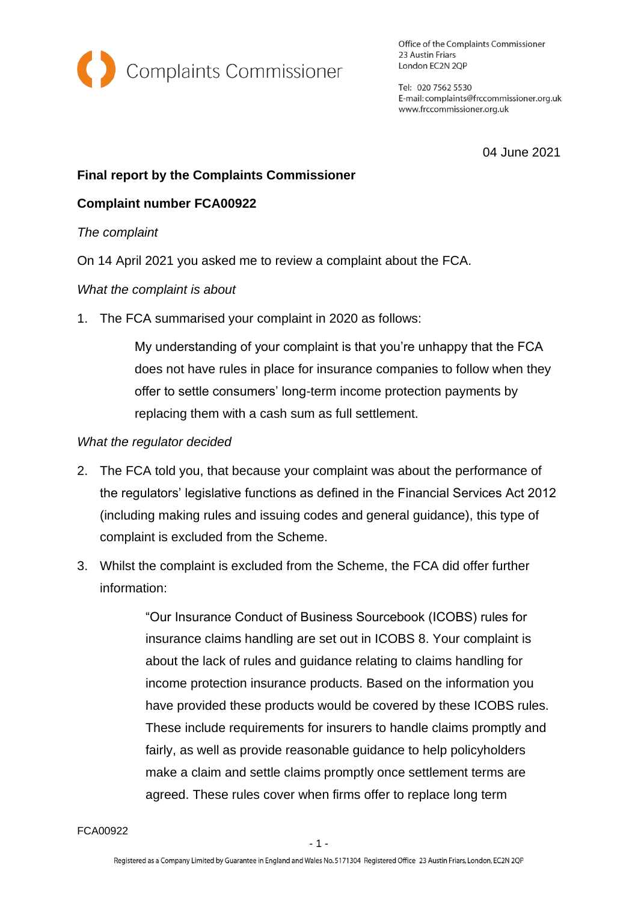

Office of the Complaints Commissioner 23 Austin Friars London EC2N 2QP

Tel: 020 7562 5530 E-mail: complaints@frccommissioner.org.uk www.frccommissioner.org.uk

04 June 2021

# **Final report by the Complaints Commissioner**

## **Complaint number FCA00922**

#### *The complaint*

On 14 April 2021 you asked me to review a complaint about the FCA.

#### *What the complaint is about*

1. The FCA summarised your complaint in 2020 as follows:

My understanding of your complaint is that you're unhappy that the FCA does not have rules in place for insurance companies to follow when they offer to settle consumers' long-term income protection payments by replacing them with a cash sum as full settlement.

#### *What the regulator decided*

- 2. The FCA told you, that because your complaint was about the performance of the regulators' legislative functions as defined in the Financial Services Act 2012 (including making rules and issuing codes and general guidance), this type of complaint is excluded from the Scheme.
- 3. Whilst the complaint is excluded from the Scheme, the FCA did offer further information:

"Our Insurance Conduct of Business Sourcebook (ICOBS) rules for insurance claims handling are set out in ICOBS 8. Your complaint is about the lack of rules and guidance relating to claims handling for income protection insurance products. Based on the information you have provided these products would be covered by these ICOBS rules. These include requirements for insurers to handle claims promptly and fairly, as well as provide reasonable guidance to help policyholders make a claim and settle claims promptly once settlement terms are agreed. These rules cover when firms offer to replace long term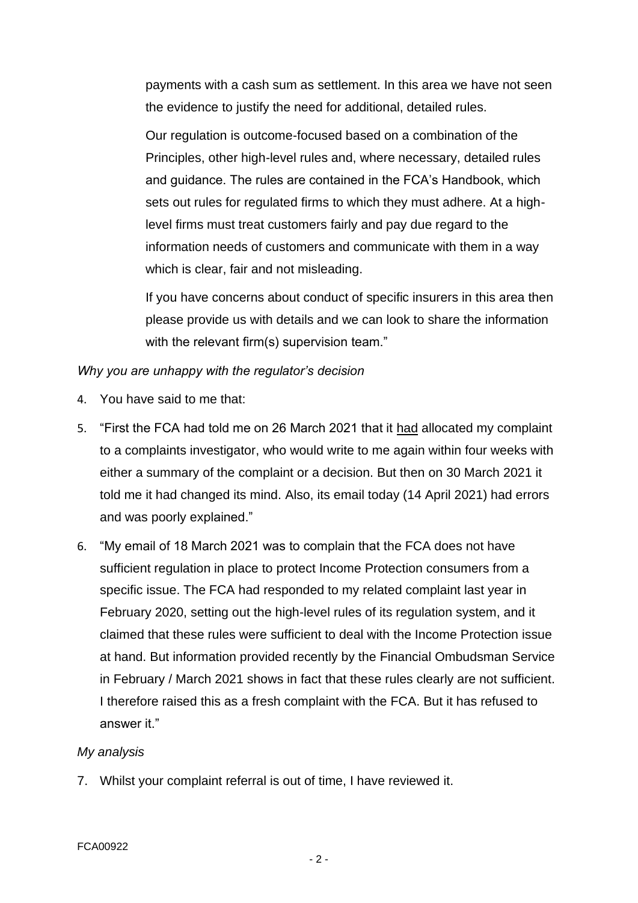payments with a cash sum as settlement. In this area we have not seen the evidence to justify the need for additional, detailed rules.

Our regulation is outcome-focused based on a combination of the Principles, other high-level rules and, where necessary, detailed rules and guidance. The rules are contained in the FCA's Handbook, which sets out rules for regulated firms to which they must adhere. At a highlevel firms must treat customers fairly and pay due regard to the information needs of customers and communicate with them in a way which is clear, fair and not misleading.

If you have concerns about conduct of specific insurers in this area then please provide us with details and we can look to share the information with the relevant firm(s) supervision team."

### *Why you are unhappy with the regulator's decision*

- 4. You have said to me that:
- 5. "First the FCA had told me on 26 March 2021 that it had allocated my complaint to a complaints investigator, who would write to me again within four weeks with either a summary of the complaint or a decision. But then on 30 March 2021 it told me it had changed its mind. Also, its email today (14 April 2021) had errors and was poorly explained."
- 6. "My email of 18 March 2021 was to complain that the FCA does not have sufficient regulation in place to protect Income Protection consumers from a specific issue. The FCA had responded to my related complaint last year in February 2020, setting out the high-level rules of its regulation system, and it claimed that these rules were sufficient to deal with the Income Protection issue at hand. But information provided recently by the Financial Ombudsman Service in February / March 2021 shows in fact that these rules clearly are not sufficient. I therefore raised this as a fresh complaint with the FCA. But it has refused to answer it."

#### *My analysis*

7. Whilst your complaint referral is out of time, I have reviewed it.